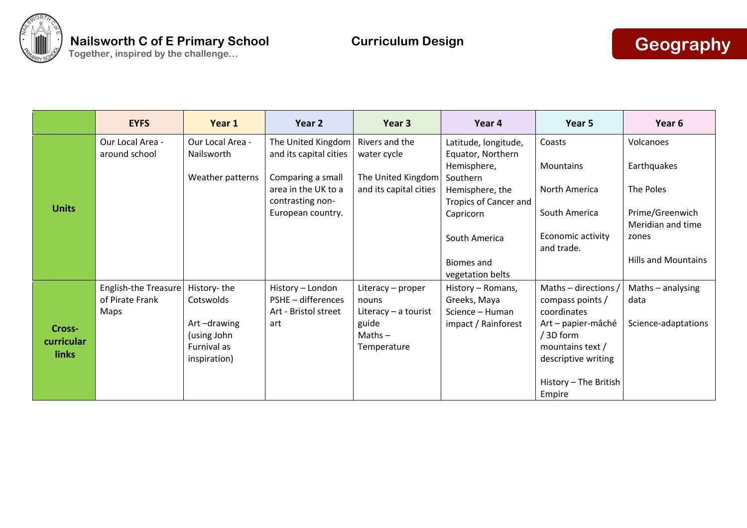

|                                      | <b>EYFS</b>                                    | Year 1                                                    | Year 2                                       | Year 3                                                      | Year 4                                                   | Year 5                                                                                    | Year 6                               |
|--------------------------------------|------------------------------------------------|-----------------------------------------------------------|----------------------------------------------|-------------------------------------------------------------|----------------------------------------------------------|-------------------------------------------------------------------------------------------|--------------------------------------|
| <b>Units</b>                         | Our Local Area -<br>around school              | Our Local Area -<br>Nailsworth                            | The United Kingdom<br>and its capital cities | Rivers and the<br>water cycle                               | Latitude, longitude,<br>Equator, Northern<br>Hemisphere, | Coasts<br>Mountains                                                                       | Volcanoes<br>Earthquakes             |
|                                      |                                                | Weather patterns                                          | Comparing a small<br>area in the UK to a     | The United Kingdom<br>and its capital cities                | Southern<br>Hemisphere, the                              | North America                                                                             | The Poles                            |
|                                      |                                                |                                                           | contrasting non-<br>European country.        |                                                             | Tropics of Cancer and<br>Capricorn                       | South America                                                                             | Prime/Greenwich<br>Meridian and time |
|                                      |                                                |                                                           |                                              |                                                             | South America                                            | Economic activity<br>and trade.                                                           | zones                                |
|                                      |                                                |                                                           |                                              |                                                             | <b>Biomes and</b><br>vegetation belts                    |                                                                                           | <b>Hills and Mountains</b>           |
| Cross-<br>curricular<br><b>links</b> | <b>English-the Treasure</b><br>of Pirate Frank | History-the<br>Cotswolds                                  | History - London<br>PSHE - differences       | Literacy - proper<br>nouns                                  | History - Romans,<br>Greeks, Maya                        | Maths – directions<br>compass points /                                                    | Maths $-$ analysing<br>data          |
|                                      | Maps                                           | Art-drawing<br>(using John<br>Furnival as<br>inspiration) | Art - Bristol street<br>art                  | Literacy $-$ a tourist<br>guide<br>$Maths -$<br>Temperature | Science - Human<br>impact / Rainforest                   | coordinates<br>Art - papier-mâché<br>/ 3D form<br>mountains text /<br>descriptive writing | Science-adaptations                  |
|                                      |                                                |                                                           |                                              |                                                             |                                                          | History - The British<br>Empire                                                           |                                      |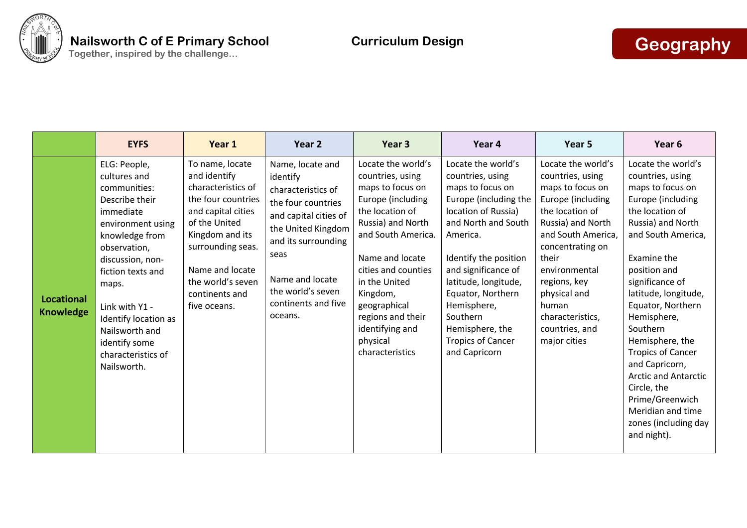

|                                       | <b>EYFS</b>                                                                                                                                                                                                                                                                                            | Year 1                                                                                                                                                                                                                               | Year 2                                                                                                                                                                                                                           | Year <sub>3</sub>                                                                                                                                                                                                                                                                                           | Year 4                                                                                                                                                                                                                                                                                                                                | Year 5                                                                                                                                                                                                                                                                                     | Year <sub>6</sub>                                                                                                                                                                                                                                                                                                                                                                                                                                                     |
|---------------------------------------|--------------------------------------------------------------------------------------------------------------------------------------------------------------------------------------------------------------------------------------------------------------------------------------------------------|--------------------------------------------------------------------------------------------------------------------------------------------------------------------------------------------------------------------------------------|----------------------------------------------------------------------------------------------------------------------------------------------------------------------------------------------------------------------------------|-------------------------------------------------------------------------------------------------------------------------------------------------------------------------------------------------------------------------------------------------------------------------------------------------------------|---------------------------------------------------------------------------------------------------------------------------------------------------------------------------------------------------------------------------------------------------------------------------------------------------------------------------------------|--------------------------------------------------------------------------------------------------------------------------------------------------------------------------------------------------------------------------------------------------------------------------------------------|-----------------------------------------------------------------------------------------------------------------------------------------------------------------------------------------------------------------------------------------------------------------------------------------------------------------------------------------------------------------------------------------------------------------------------------------------------------------------|
| <b>Locational</b><br><b>Knowledge</b> | ELG: People,<br>cultures and<br>communities:<br>Describe their<br>immediate<br>environment using<br>knowledge from<br>observation,<br>discussion, non-<br>fiction texts and<br>maps.<br>Link with Y1 -<br>Identify location as<br>Nailsworth and<br>identify some<br>characteristics of<br>Nailsworth. | To name, locate<br>and identify<br>characteristics of<br>the four countries<br>and capital cities<br>of the United<br>Kingdom and its<br>surrounding seas.<br>Name and locate<br>the world's seven<br>continents and<br>five oceans. | Name, locate and<br>identify<br>characteristics of<br>the four countries<br>and capital cities of<br>the United Kingdom<br>and its surrounding<br>seas<br>Name and locate<br>the world's seven<br>continents and five<br>oceans. | Locate the world's<br>countries, using<br>maps to focus on<br>Europe (including<br>the location of<br>Russia) and North<br>and South America.<br>Name and locate<br>cities and counties<br>in the United<br>Kingdom,<br>geographical<br>regions and their<br>identifying and<br>physical<br>characteristics | Locate the world's<br>countries, using<br>maps to focus on<br>Europe (including the<br>location of Russia)<br>and North and South<br>America.<br>Identify the position<br>and significance of<br>latitude, longitude,<br>Equator, Northern<br>Hemisphere,<br>Southern<br>Hemisphere, the<br><b>Tropics of Cancer</b><br>and Capricorn | Locate the world's<br>countries, using<br>maps to focus on<br>Europe (including<br>the location of<br>Russia) and North<br>and South America,<br>concentrating on<br>their<br>environmental<br>regions, key<br>physical and<br>human<br>characteristics,<br>countries, and<br>major cities | Locate the world's<br>countries, using<br>maps to focus on<br>Europe (including<br>the location of<br>Russia) and North<br>and South America,<br>Examine the<br>position and<br>significance of<br>latitude, longitude,<br>Equator, Northern<br>Hemisphere,<br>Southern<br>Hemisphere, the<br><b>Tropics of Cancer</b><br>and Capricorn,<br><b>Arctic and Antarctic</b><br>Circle, the<br>Prime/Greenwich<br>Meridian and time<br>zones (including day<br>and night). |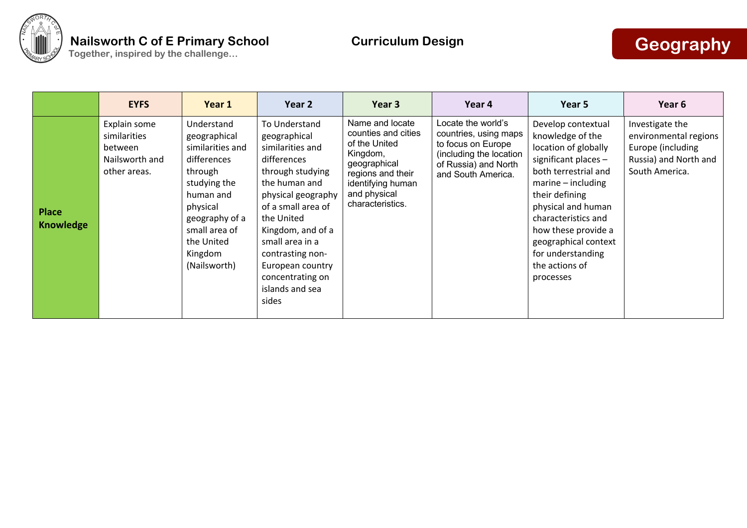

|                                  | <b>EYFS</b>                                                               | Year 1                                                                                                                                                                                        | Year 2                                                                                                                                                                                                                                                                                          | Year 3                                                                                                                                                            | Year 4                                                                                                                                     | Year 5                                                                                                                                                                                                                                                                                                   | Year 6                                                                                                   |
|----------------------------------|---------------------------------------------------------------------------|-----------------------------------------------------------------------------------------------------------------------------------------------------------------------------------------------|-------------------------------------------------------------------------------------------------------------------------------------------------------------------------------------------------------------------------------------------------------------------------------------------------|-------------------------------------------------------------------------------------------------------------------------------------------------------------------|--------------------------------------------------------------------------------------------------------------------------------------------|----------------------------------------------------------------------------------------------------------------------------------------------------------------------------------------------------------------------------------------------------------------------------------------------------------|----------------------------------------------------------------------------------------------------------|
| <b>Place</b><br><b>Knowledge</b> | Explain some<br>similarities<br>between<br>Nailsworth and<br>other areas. | Understand<br>geographical<br>similarities and<br>differences<br>through<br>studying the<br>human and<br>physical<br>geography of a<br>small area of<br>the United<br>Kingdom<br>(Nailsworth) | To Understand<br>geographical<br>similarities and<br>differences<br>through studying<br>the human and<br>physical geography<br>of a small area of<br>the United<br>Kingdom, and of a<br>small area in a<br>contrasting non-<br>European country<br>concentrating on<br>islands and sea<br>sides | Name and locate<br>counties and cities<br>of the United<br>Kingdom,<br>geographical<br>regions and their<br>identifying human<br>and physical<br>characteristics. | Locate the world's<br>countries, using maps<br>to focus on Europe<br>(including the location<br>of Russia) and North<br>and South America. | Develop contextual<br>knowledge of the<br>location of globally<br>significant places -<br>both terrestrial and<br>$marine - including$<br>their defining<br>physical and human<br>characteristics and<br>how these provide a<br>geographical context<br>for understanding<br>the actions of<br>processes | Investigate the<br>environmental regions<br>Europe (including<br>Russia) and North and<br>South America. |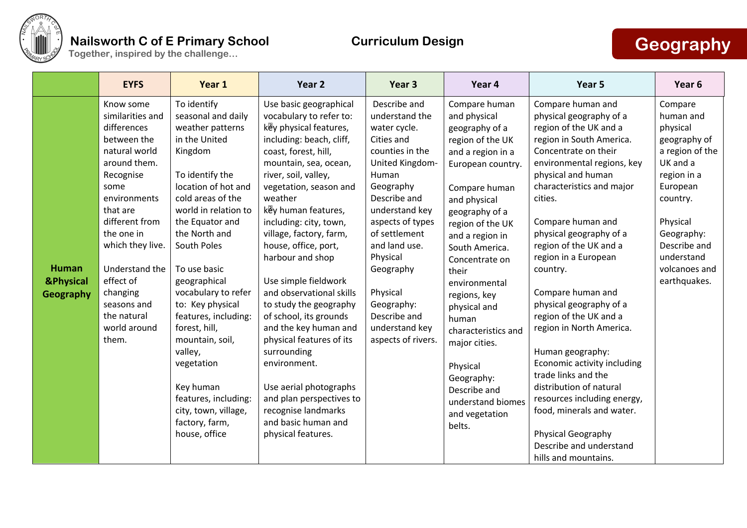

|                                                   | <b>EYFS</b>                                                                                                                                                                                                                                                                                         | Year 1                                                                                                                                                                                                                                                                                                                                                                                                                                                                                      | Year <sub>2</sub>                                                                                                                                                                                                                                                                                                                                                                                                                                                                                                                                                                                                                                                   | Year <sub>3</sub>                                                                                                                                                                                                                                                                                                           | Year 4                                                                                                                                                                                                                                                                                                                                                                                                                                            | Year 5                                                                                                                                                                                                                                                                                                                                                                                                                                                                                                                                                                                                                                                                               | Year 6                                                                                                                                                                                                          |
|---------------------------------------------------|-----------------------------------------------------------------------------------------------------------------------------------------------------------------------------------------------------------------------------------------------------------------------------------------------------|---------------------------------------------------------------------------------------------------------------------------------------------------------------------------------------------------------------------------------------------------------------------------------------------------------------------------------------------------------------------------------------------------------------------------------------------------------------------------------------------|---------------------------------------------------------------------------------------------------------------------------------------------------------------------------------------------------------------------------------------------------------------------------------------------------------------------------------------------------------------------------------------------------------------------------------------------------------------------------------------------------------------------------------------------------------------------------------------------------------------------------------------------------------------------|-----------------------------------------------------------------------------------------------------------------------------------------------------------------------------------------------------------------------------------------------------------------------------------------------------------------------------|---------------------------------------------------------------------------------------------------------------------------------------------------------------------------------------------------------------------------------------------------------------------------------------------------------------------------------------------------------------------------------------------------------------------------------------------------|--------------------------------------------------------------------------------------------------------------------------------------------------------------------------------------------------------------------------------------------------------------------------------------------------------------------------------------------------------------------------------------------------------------------------------------------------------------------------------------------------------------------------------------------------------------------------------------------------------------------------------------------------------------------------------------|-----------------------------------------------------------------------------------------------------------------------------------------------------------------------------------------------------------------|
| <b>Human</b><br><b>&amp;Physical</b><br>Geography | Know some<br>similarities and<br>differences<br>between the<br>natural world<br>around them.<br>Recognise<br>some<br>environments<br>that are<br>different from<br>the one in<br>which they live.<br>Understand the<br>effect of<br>changing<br>seasons and<br>the natural<br>world around<br>them. | To identify<br>seasonal and daily<br>weather patterns<br>in the United<br>Kingdom<br>To identify the<br>location of hot and<br>cold areas of the<br>world in relation to<br>the Equator and<br>the North and<br>South Poles<br>To use basic<br>geographical<br>vocabulary to refer<br>to: Key physical<br>features, including:<br>forest, hill,<br>mountain, soil,<br>valley,<br>vegetation<br>Key human<br>features, including:<br>city, town, village,<br>factory, farm,<br>house, office | Use basic geographical<br>vocabulary to refer to:<br>key physical features,<br>including: beach, cliff,<br>coast, forest, hill,<br>mountain, sea, ocean,<br>river, soil, valley,<br>vegetation, season and<br>weather<br>key human features,<br>including: city, town,<br>village, factory, farm,<br>house, office, port,<br>harbour and shop<br>Use simple fieldwork<br>and observational skills<br>to study the geography<br>of school, its grounds<br>and the key human and<br>physical features of its<br>surrounding<br>environment.<br>Use aerial photographs<br>and plan perspectives to<br>recognise landmarks<br>and basic human and<br>physical features. | Describe and<br>understand the<br>water cycle.<br>Cities and<br>counties in the<br>United Kingdom-<br>Human<br>Geography<br>Describe and<br>understand key<br>aspects of types<br>of settlement<br>and land use.<br>Physical<br>Geography<br>Physical<br>Geography:<br>Describe and<br>understand key<br>aspects of rivers. | Compare human<br>and physical<br>geography of a<br>region of the UK<br>and a region in a<br>European country.<br>Compare human<br>and physical<br>geography of a<br>region of the UK<br>and a region in<br>South America.<br>Concentrate on<br>their<br>environmental<br>regions, key<br>physical and<br>human<br>characteristics and<br>major cities.<br>Physical<br>Geography:<br>Describe and<br>understand biomes<br>and vegetation<br>belts. | Compare human and<br>physical geography of a<br>region of the UK and a<br>region in South America.<br>Concentrate on their<br>environmental regions, key<br>physical and human<br>characteristics and major<br>cities.<br>Compare human and<br>physical geography of a<br>region of the UK and a<br>region in a European<br>country.<br>Compare human and<br>physical geography of a<br>region of the UK and a<br>region in North America.<br>Human geography:<br>Economic activity including<br>trade links and the<br>distribution of natural<br>resources including energy,<br>food, minerals and water.<br>Physical Geography<br>Describe and understand<br>hills and mountains. | Compare<br>human and<br>physical<br>geography of<br>a region of the<br>UK and a<br>region in a<br>European<br>country.<br>Physical<br>Geography:<br>Describe and<br>understand<br>volcanoes and<br>earthquakes. |